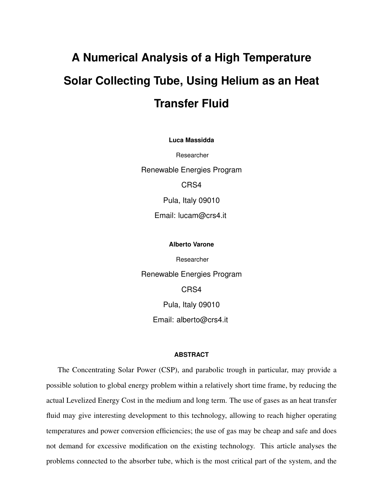# **A Numerical Analysis of a High Temperature Solar Collecting Tube, Using Helium as an Heat Transfer Fluid**

**Luca Massidda**

Researcher

Renewable Energies Program CRS4 Pula, Italy 09010

Email: lucam@crs4.it

## **Alberto Varone**

Researcher Renewable Energies Program CRS4 Pula, Italy 09010 Email: alberto@crs4.it

#### **ABSTRACT**

The Concentrating Solar Power (CSP), and parabolic trough in particular, may provide a possible solution to global energy problem within a relatively short time frame, by reducing the actual Levelized Energy Cost in the medium and long term. The use of gases as an heat transfer fluid may give interesting development to this technology, allowing to reach higher operating temperatures and power conversion efficiencies; the use of gas may be cheap and safe and does not demand for excessive modification on the existing technology. This article analyses the problems connected to the absorber tube, which is the most critical part of the system, and the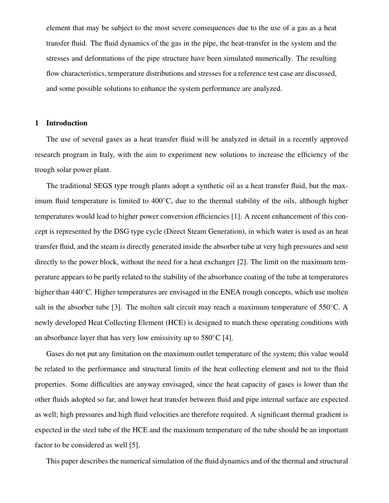element that may be subject to the most severe consequences due to the use of a gas as a heat transfer fluid. The fluid dynamics of the gas in the pipe, the heat-transfer in the system and the stresses and deformations of the pipe structure have been simulated numerically. The resulting flow characteristics, temperature distributions and stresses for a reference test case are discussed, and some possible solutions to enhance the system performance are analyzed.

#### 1 Introduction

The use of several gases as a heat transfer fluid will be analyzed in detail in a recently approved research program in Italy, with the aim to experiment new solutions to increase the efficiency of the trough solar power plant.

The traditional SEGS type trough plants adopt a synthetic oil as a heat transfer fluid, but the maximum fluid temperature is limited to 400◦C, due to the thermal stability of the oils, although higher temperatures would lead to higher power conversion efficiencies [1]. A recent enhancement of this concept is represented by the DSG type cycle (Direct Steam Generation), in which water is used as an heat transfer fluid, and the steam is directly generated inside the absorber tube at very high pressures and sent directly to the power block, without the need for a heat exchanger [2]. The limit on the maximum temperature appears to be partly related to the stability of the absorbance coating of the tube at temperatures higher than 440<sup>°</sup>C. Higher temperatures are envisaged in the ENEA trough concepts, which use molten salt in the absorber tube [3]. The molten salt circuit may reach a maximum temperature of  $550^{\circ}$ C. A newly developed Heat Collecting Element (HCE) is designed to match these operating conditions with an absorbance layer that has very low emissivity up to  $580^{\circ}$ C [4].

Gases do not put any limitation on the maximum outlet temperature of the system; this value would be related to the performance and structural limits of the heat collecting element and not to the fluid properties. Some difficulties are anyway envisaged, since the heat capacity of gases is lower than the other fluids adopted so far, and lower heat transfer between fluid and pipe internal surface are expected as well; high pressures and high fluid velocities are therefore required. A significant thermal gradient is expected in the steel tube of the HCE and the maximum temperature of the tube should be an important factor to be considered as well [5].

This paper describes the numerical simulation of the fluid dynamics and of the thermal and structural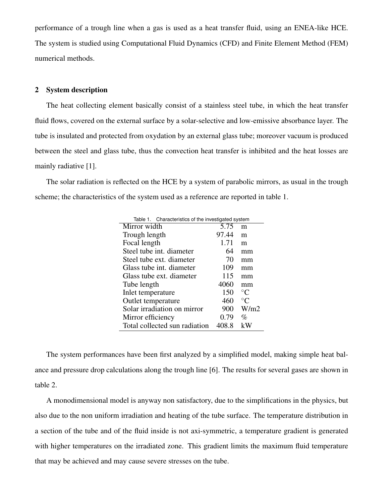performance of a trough line when a gas is used as a heat transfer fluid, using an ENEA-like HCE. The system is studied using Computational Fluid Dynamics (CFD) and Finite Element Method (FEM) numerical methods.

## 2 System description

The heat collecting element basically consist of a stainless steel tube, in which the heat transfer fluid flows, covered on the external surface by a solar-selective and low-emissive absorbance layer. The tube is insulated and protected from oxydation by an external glass tube; moreover vacuum is produced between the steel and glass tube, thus the convection heat transfer is inhibited and the heat losses are mainly radiative [1].

The solar radiation is reflected on the HCE by a system of parabolic mirrors, as usual in the trough scheme; the characteristics of the system used as a reference are reported in table 1.

| Table 1. Characteristics of the investigated system |       |                 |  |  |  |
|-----------------------------------------------------|-------|-----------------|--|--|--|
| Mirror width                                        | 5.75  | m               |  |  |  |
| Trough length                                       | 97.44 | m               |  |  |  |
| Focal length                                        | 1.71  | m               |  |  |  |
| Steel tube int. diameter                            | 64    | mm              |  |  |  |
| Steel tube ext. diameter                            | 70    | mm              |  |  |  |
| Glass tube int. diameter                            | 109   | mm              |  |  |  |
| Glass tube ext. diameter                            | 115   | mm              |  |  |  |
| Tube length                                         | 4060  | mm              |  |  |  |
| Inlet temperature                                   | 150   | $^{\circ}C$     |  |  |  |
| Outlet temperature                                  | 460   | $\rm ^{\circ}C$ |  |  |  |
| Solar irradiation on mirror                         | 900   | W/m2            |  |  |  |
| Mirror efficiency                                   | 0.79  | $\%$            |  |  |  |
| Total collected sun radiation                       | 408.8 | kW              |  |  |  |

The system performances have been first analyzed by a simplified model, making simple heat balance and pressure drop calculations along the trough line [6]. The results for several gases are shown in table 2.

A monodimensional model is anyway non satisfactory, due to the simplifications in the physics, but also due to the non uniform irradiation and heating of the tube surface. The temperature distribution in a section of the tube and of the fluid inside is not axi-symmetric, a temperature gradient is generated with higher temperatures on the irradiated zone. This gradient limits the maximum fluid temperature that may be achieved and may cause severe stresses on the tube.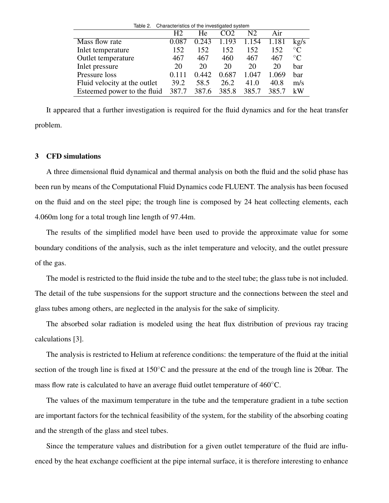| Table 2.                     | Characteristics of the investigated system |       |       |                |       |                 |
|------------------------------|--------------------------------------------|-------|-------|----------------|-------|-----------------|
|                              | H <sub>2</sub>                             | He    |       | N <sub>2</sub> | Air   |                 |
| Mass flow rate               | 0.087                                      | 0.243 | 1.193 | 1.154          | 1.181 | kg/s            |
| Inlet temperature            | 152                                        | 152   | 152   | 152            | 152   | $\rm ^{\circ}C$ |
| Outlet temperature           | 467                                        | 467   | 460   | 467            | 467   | $\rm ^{\circ}C$ |
| Inlet pressure               | 20                                         | 20    | 20    | 20             | 20    | har             |
| Pressure loss                | 0.111                                      | 0.442 | 0.687 | 1.047          | 1.069 | har             |
| Fluid velocity at the outlet | 39.2                                       | 58.5  | 26.2  | 41.0           | 40.8  | m/s             |
| Esteemed power to the fluid  | 387.7                                      | 387.6 | 385.8 | 385.7          | 385.7 | kW              |

It appeared that a further investigation is required for the fluid dynamics and for the heat transfer problem.

#### 3 CFD simulations

A three dimensional fluid dynamical and thermal analysis on both the fluid and the solid phase has been run by means of the Computational Fluid Dynamics code FLUENT. The analysis has been focused on the fluid and on the steel pipe; the trough line is composed by 24 heat collecting elements, each 4.060m long for a total trough line length of 97.44m.

The results of the simplified model have been used to provide the approximate value for some boundary conditions of the analysis, such as the inlet temperature and velocity, and the outlet pressure of the gas.

The model is restricted to the fluid inside the tube and to the steel tube; the glass tube is not included. The detail of the tube suspensions for the support structure and the connections between the steel and glass tubes among others, are neglected in the analysis for the sake of simplicity.

The absorbed solar radiation is modeled using the heat flux distribution of previous ray tracing calculations [3].

The analysis is restricted to Helium at reference conditions: the temperature of the fluid at the initial section of the trough line is fixed at 150◦C and the pressure at the end of the trough line is 20bar. The mass flow rate is calculated to have an average fluid outlet temperature of 460◦C.

The values of the maximum temperature in the tube and the temperature gradient in a tube section are important factors for the technical feasibility of the system, for the stability of the absorbing coating and the strength of the glass and steel tubes.

Since the temperature values and distribution for a given outlet temperature of the fluid are influenced by the heat exchange coefficient at the pipe internal surface, it is therefore interesting to enhance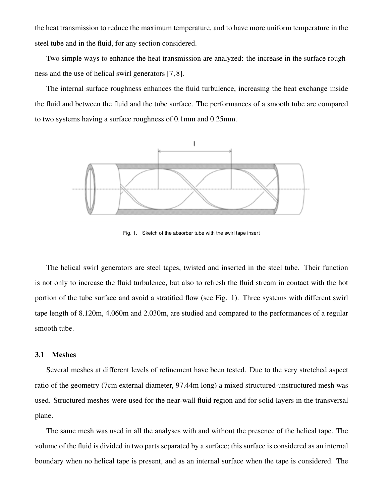the heat transmission to reduce the maximum temperature, and to have more uniform temperature in the steel tube and in the fluid, for any section considered.

Two simple ways to enhance the heat transmission are analyzed: the increase in the surface roughness and the use of helical swirl generators [7, 8].

The internal surface roughness enhances the fluid turbulence, increasing the heat exchange inside the fluid and between the fluid and the tube surface. The performances of a smooth tube are compared to two systems having a surface roughness of 0.1mm and 0.25mm.



Fig. 1. Sketch of the absorber tube with the swirl tape insert

The helical swirl generators are steel tapes, twisted and inserted in the steel tube. Their function is not only to increase the fluid turbulence, but also to refresh the fluid stream in contact with the hot portion of the tube surface and avoid a stratified flow (see Fig. 1). Three systems with different swirl tape length of 8.120m, 4.060m and 2.030m, are studied and compared to the performances of a regular smooth tube.

## 3.1 Meshes

Several meshes at different levels of refinement have been tested. Due to the very stretched aspect ratio of the geometry (7cm external diameter, 97.44m long) a mixed structured-unstructured mesh was used. Structured meshes were used for the near-wall fluid region and for solid layers in the transversal plane.

The same mesh was used in all the analyses with and without the presence of the helical tape. The volume of the fluid is divided in two parts separated by a surface; this surface is considered as an internal boundary when no helical tape is present, and as an internal surface when the tape is considered. The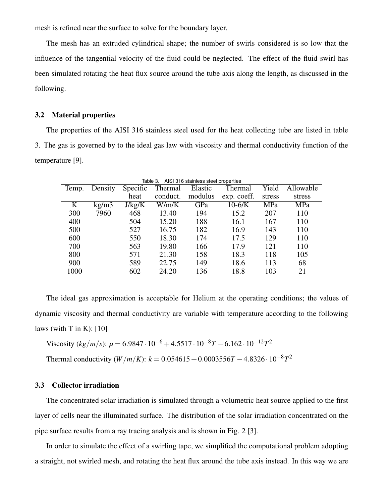mesh is refined near the surface to solve for the boundary layer.

The mesh has an extruded cylindrical shape; the number of swirls considered is so low that the influence of the tangential velocity of the fluid could be neglected. The effect of the fluid swirl has been simulated rotating the heat flux source around the tube axis along the length, as discussed in the following.

## 3.2 Material properties

The properties of the AISI 316 stainless steel used for the heat collecting tube are listed in table 3. The gas is governed by to the ideal gas law with viscosity and thermal conductivity function of the temperature [9].

| AISI 316 stainless steel properties<br>Table 3. |         |          |          |         |             |        |           |
|-------------------------------------------------|---------|----------|----------|---------|-------------|--------|-----------|
| Temp.                                           | Density | Specific | Thermal  | Elastic | Thermal     | Yield  | Allowable |
|                                                 |         | heat     | conduct. | modulus | exp. coeff. | stress | stress    |
| K                                               | kg/m3   | J/kg/K   | W/m/K    | GPa     | $10-6/K$    | MPa    | MPa       |
| 300                                             | 7960    | 468      | 13.40    | 194     | 15.2        | 207    | 110       |
| 400                                             |         | 504      | 15.20    | 188     | 16.1        | 167    | 110       |
| 500                                             |         | 527      | 16.75    | 182     | 16.9        | 143    | 110       |
| 600                                             |         | 550      | 18.30    | 174     | 17.5        | 129    | 110       |
| 700                                             |         | 563      | 19.80    | 166     | 17.9        | 121    | 110       |
| 800                                             |         | 571      | 21.30    | 158     | 18.3        | 118    | 105       |
| 900                                             |         | 589      | 22.75    | 149     | 18.6        | 113    | 68        |
| 1000                                            |         | 602      | 24.20    | 136     | 18.8        | 103    | 21        |

The ideal gas approximation is acceptable for Helium at the operating conditions; the values of dynamic viscosity and thermal conductivity are variable with temperature according to the following laws (with  $T$  in  $K$ ): [10]

Viscosity 
$$
(kg/m/s)
$$
:  $\mu = 6.9847 \cdot 10^{-6} + 4.5517 \cdot 10^{-8}T - 6.162 \cdot 10^{-12}T^2$ 

Thermal conductivity  $(W/m/K)$ :  $k = 0.054615 + 0.0003556T - 4.8326 \cdot 10^{-8}T^2$ 

## 3.3 Collector irradiation

The concentrated solar irradiation is simulated through a volumetric heat source applied to the first layer of cells near the illuminated surface. The distribution of the solar irradiation concentrated on the pipe surface results from a ray tracing analysis and is shown in Fig. 2 [3].

In order to simulate the effect of a swirling tape, we simplified the computational problem adopting a straight, not swirled mesh, and rotating the heat flux around the tube axis instead. In this way we are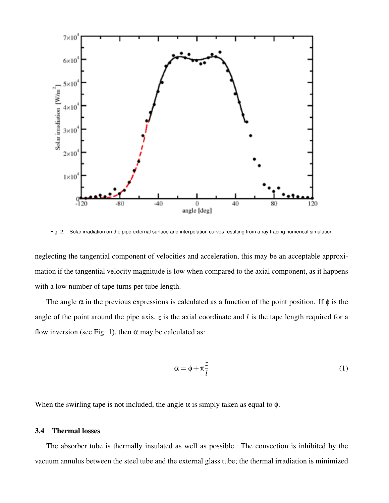

Fig. 2. Solar irradiation on the pipe external surface and interpolation curves resulting from a ray tracing numerical simulation

neglecting the tangential component of velocities and acceleration, this may be an acceptable approximation if the tangential velocity magnitude is low when compared to the axial component, as it happens with a low number of tape turns per tube length.

The angle  $\alpha$  in the previous expressions is calculated as a function of the point position. If  $\phi$  is the angle of the point around the pipe axis, *z* is the axial coordinate and *l* is the tape length required for a flow inversion (see Fig. 1), then  $\alpha$  may be calculated as:

$$
\alpha = \phi + \pi \frac{z}{l} \tag{1}
$$

When the swirling tape is not included, the angle  $\alpha$  is simply taken as equal to  $\phi$ .

# 3.4 Thermal losses

The absorber tube is thermally insulated as well as possible. The convection is inhibited by the vacuum annulus between the steel tube and the external glass tube; the thermal irradiation is minimized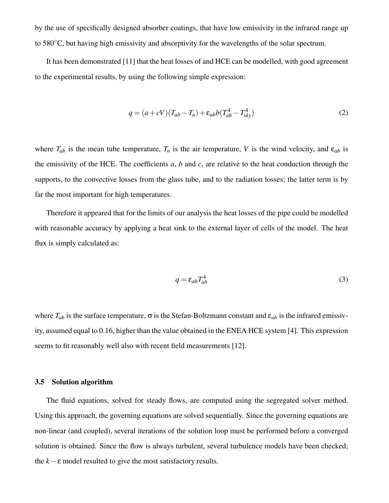by the use of specifically designed absorber coatings, that have low emissivity in the infrared range up to 580◦C, but having high emissivity and absorptivity for the wavelengths of the solar spectrum.

It has been demonstrated [11] that the heat losses of and HCE can be modelled, with good agreement to the experimental results, by using the following simple expression:

$$
q = (a + cV)(T_{ab} - T_a) + \varepsilon_{ab}b(T_{ab}^4 - T_{sky}^4)
$$
 (2)

where  $T_{ab}$  is the mean tube temperature,  $T_a$  is the air temperature, V is the wind velocity, and  $\varepsilon_{ab}$  is the emissivity of the HCE. The coefficients *a*, *b* and *c*, are relative to the heat conduction through the supports, to the convective losses from the glass tube, and to the radiation losses; the latter term is by far the most important for high temperatures.

Therefore it appeared that for the limits of our analysis the heat losses of the pipe could be modelled with reasonable accuracy by applying a heat sink to the external layer of cells of the model. The heat flux is simply calculated as:

$$
q = \varepsilon_{ab} T_{ab}^4 \tag{3}
$$

where  $T_{ab}$  is the surface temperature,  $\sigma$  is the Stefan-Boltzmann constant and  $\varepsilon_{ab}$  is the infrared emissivity, assumed equal to 0.16, higher than the value obtained in the ENEA HCE system [4]. This expression seems to fit reasonably well also with recent field measurements [12].

#### 3.5 Solution algorithm

The fluid equations, solved for steady flows, are computed using the segregated solver method. Using this approach, the governing equations are solved sequentially. Since the governing equations are non-linear (and coupled), several iterations of the solution loop must be performed before a converged solution is obtained. Since the flow is always turbulent, several turbulence models have been checked; the  $k - \varepsilon$  model resulted to give the most satisfactory results.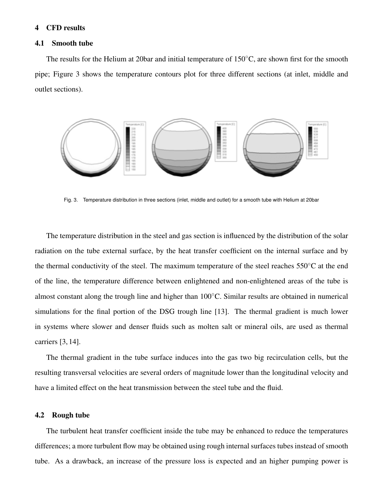## 4 CFD results

## 4.1 Smooth tube

The results for the Helium at 20bar and initial temperature of 150◦C, are shown first for the smooth pipe; Figure 3 shows the temperature contours plot for three different sections (at inlet, middle and outlet sections).



Fig. 3. Temperature distribution in three sections (inlet, middle and outlet) for a smooth tube with Helium at 20bar

The temperature distribution in the steel and gas section is influenced by the distribution of the solar radiation on the tube external surface, by the heat transfer coefficient on the internal surface and by the thermal conductivity of the steel. The maximum temperature of the steel reaches  $550^{\circ}$ C at the end of the line, the temperature difference between enlightened and non-enlightened areas of the tube is almost constant along the trough line and higher than 100◦C. Similar results are obtained in numerical simulations for the final portion of the DSG trough line [13]. The thermal gradient is much lower in systems where slower and denser fluids such as molten salt or mineral oils, are used as thermal carriers [3, 14].

The thermal gradient in the tube surface induces into the gas two big recirculation cells, but the resulting transversal velocities are several orders of magnitude lower than the longitudinal velocity and have a limited effect on the heat transmission between the steel tube and the fluid.

## 4.2 Rough tube

The turbulent heat transfer coefficient inside the tube may be enhanced to reduce the temperatures differences; a more turbulent flow may be obtained using rough internal surfaces tubes instead of smooth tube. As a drawback, an increase of the pressure loss is expected and an higher pumping power is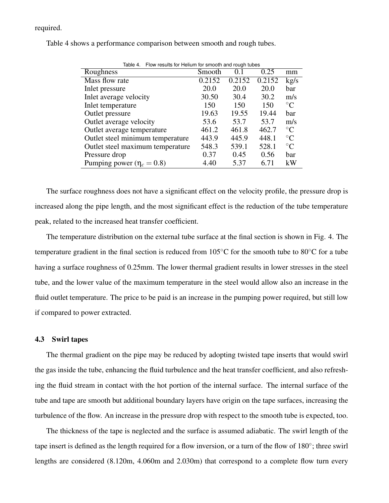## required.

| Flow results for Helium for smooth and rough tubes<br>Table 4. |        |        |                 |  |  |  |
|----------------------------------------------------------------|--------|--------|-----------------|--|--|--|
| Smooth                                                         | 0.1    | 0.25   | mm              |  |  |  |
| 0.2152                                                         | 0.2152 | 0.2152 | kg/s            |  |  |  |
| 20.0                                                           | 20.0   | 20.0   | har             |  |  |  |
| 30.50                                                          | 30.4   | 30.2   | m/s             |  |  |  |
| 150                                                            | 150    | 150    | $\rm ^{\circ}C$ |  |  |  |
| 19.63                                                          | 19.55  | 19.44  | har             |  |  |  |
| 53.6                                                           | 53.7   | 53.7   | m/s             |  |  |  |
| 461.2                                                          | 461.8  | 462.7  | $\rm ^{\circ}C$ |  |  |  |
| 443.9                                                          | 445.9  | 448.1  | $^{\circ}C$     |  |  |  |
| 548.3                                                          | 539.1  | 528.1  | $\rm ^{\circ}C$ |  |  |  |
| 0.37                                                           | 0.45   | 0.56   | har             |  |  |  |
| 4.40                                                           | 5.37   | 6.71   | kW              |  |  |  |
|                                                                |        |        |                 |  |  |  |

Table 4 shows a performance comparison between smooth and rough tubes.

The surface roughness does not have a significant effect on the velocity profile, the pressure drop is increased along the pipe length, and the most significant effect is the reduction of the tube temperature peak, related to the increased heat transfer coefficient.

The temperature distribution on the external tube surface at the final section is shown in Fig. 4. The temperature gradient in the final section is reduced from 105◦C for the smooth tube to 80◦C for a tube having a surface roughness of 0.25mm. The lower thermal gradient results in lower stresses in the steel tube, and the lower value of the maximum temperature in the steel would allow also an increase in the fluid outlet temperature. The price to be paid is an increase in the pumping power required, but still low if compared to power extracted.

#### 4.3 Swirl tapes

The thermal gradient on the pipe may be reduced by adopting twisted tape inserts that would swirl the gas inside the tube, enhancing the fluid turbulence and the heat transfer coefficient, and also refreshing the fluid stream in contact with the hot portion of the internal surface. The internal surface of the tube and tape are smooth but additional boundary layers have origin on the tape surfaces, increasing the turbulence of the flow. An increase in the pressure drop with respect to the smooth tube is expected, too.

The thickness of the tape is neglected and the surface is assumed adiabatic. The swirl length of the tape insert is defined as the length required for a flow inversion, or a turn of the flow of 180°; three swirl lengths are considered (8.120m, 4.060m and 2.030m) that correspond to a complete flow turn every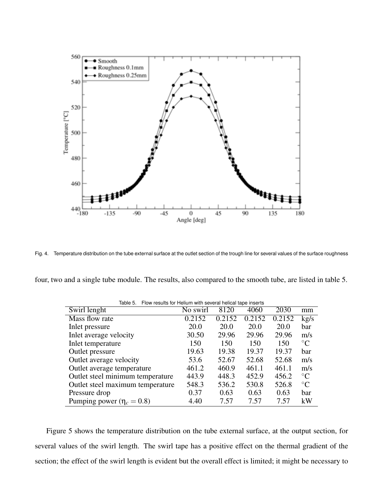

Fig. 4. Temperature distribution on the tube external surface at the outlet section of the trough line for several values of the surface roughness

four, two and a single tube module. The results, also compared to the smooth tube, are listed in table 5.

| Flow results for Helium with several helical tape inserts<br>Table 5. |          |        |             |        |                 |
|-----------------------------------------------------------------------|----------|--------|-------------|--------|-----------------|
| Swirl lenght                                                          | No swirl | 8120   | 4060        | 2030   | mm              |
| Mass flow rate                                                        | 0.2152   | 0.2152 | 0.2152      | 0.2152 | kg/s            |
| Inlet pressure                                                        | 20.0     | 20.0   | <b>20.0</b> | 20.0   | bar             |
| Inlet average velocity                                                | 30.50    | 29.96  | 29.96       | 29.96  | m/s             |
| Inlet temperature                                                     | 150      | 150    | 150         | 150    | $\rm ^{\circ}C$ |
| Outlet pressure                                                       | 19.63    | 19.38  | 19.37       | 19.37  | bar             |
| Outlet average velocity                                               | 53.6     | 52.67  | 52.68       | 52.68  | m/s             |
| Outlet average temperature                                            | 461.2    | 460.9  | 461.1       | 461.1  | m/s             |
| Outlet steel minimum temperature                                      | 443.9    | 448.3  | 452.9       | 456.2  | $\rm ^{\circ}C$ |
| Outlet steel maximum temperature                                      | 548.3    | 536.2  | 530.8       | 526.8  | $\rm ^{\circ}C$ |
| Pressure drop                                                         | 0.37     | 0.63   | 0.63        | 0.63   | bar             |
| Pumping power ( $\eta_c = 0.8$ )                                      | 4.40     | 7.57   | 7.57        | 7.57   | kW              |

Figure 5 shows the temperature distribution on the tube external surface, at the output section, for several values of the swirl length. The swirl tape has a positive effect on the thermal gradient of the section; the effect of the swirl length is evident but the overall effect is limited; it might be necessary to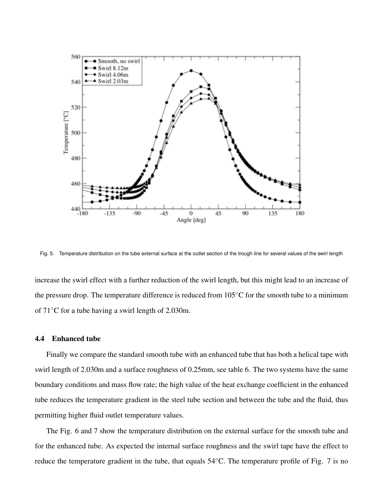

Fig. 5. Temperature distribution on the tube external surface at the outlet section of the trough line for several values of the swirl length

increase the swirl effect with a further reduction of the swirl length, but this might lead to an increase of the pressure drop. The temperature difference is reduced from  $105^{\circ}$ C for the smooth tube to a minimum of 71◦C for a tube having a swirl length of 2.030m.

## 4.4 Enhanced tube

Finally we compare the standard smooth tube with an enhanced tube that has both a helical tape with swirl length of 2.030m and a surface roughness of 0.25mm, see table 6. The two systems have the same boundary conditions and mass flow rate; the high value of the heat exchange coefficient in the enhanced tube reduces the temperature gradient in the steel tube section and between the tube and the fluid, thus permitting higher fluid outlet temperature values.

The Fig. 6 and 7 show the temperature distribution on the external surface for the smooth tube and for the enhanced tube. As expected the internal surface roughness and the swirl tape have the effect to reduce the temperature gradient in the tube, that equals 54◦C. The temperature profile of Fig. 7 is no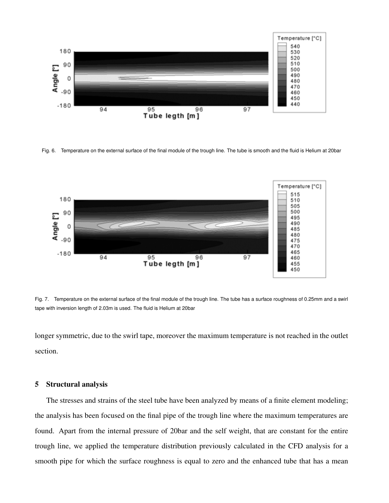

Fig. 6. Temperature on the external surface of the final module of the trough line. The tube is smooth and the fluid is Helium at 20bar



Fig. 7. Temperature on the external surface of the final module of the trough line. The tube has a surface roughness of 0.25mm and a swirl tape with inversion length of 2.03m is used. The fluid is Helium at 20bar

longer symmetric, due to the swirl tape, moreover the maximum temperature is not reached in the outlet section.

## 5 Structural analysis

The stresses and strains of the steel tube have been analyzed by means of a finite element modeling; the analysis has been focused on the final pipe of the trough line where the maximum temperatures are found. Apart from the internal pressure of 20bar and the self weight, that are constant for the entire trough line, we applied the temperature distribution previously calculated in the CFD analysis for a smooth pipe for which the surface roughness is equal to zero and the enhanced tube that has a mean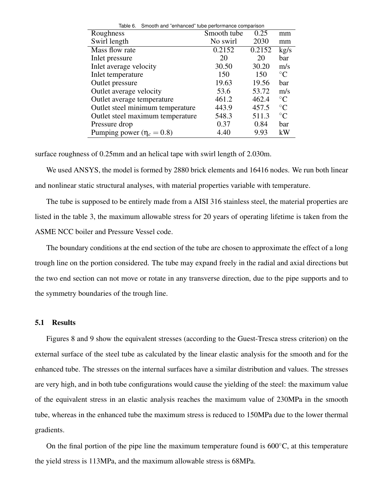| Table 6.<br>Smooth and "enhanced" tube performance comparison |             |        |                 |  |  |
|---------------------------------------------------------------|-------------|--------|-----------------|--|--|
| Roughness                                                     | Smooth tube | 0.25   | mm              |  |  |
| Swirl length                                                  | No swirl    | 2030   | mm              |  |  |
| Mass flow rate                                                | 0.2152      | 0.2152 | kg/s            |  |  |
| Inlet pressure                                                | 20          | 20     | bar             |  |  |
| Inlet average velocity                                        | 30.50       | 30.20  | m/s             |  |  |
| Inlet temperature                                             | 150         | 150    | $\rm ^{\circ}C$ |  |  |
| Outlet pressure                                               | 19.63       | 19.56  | bar             |  |  |
| Outlet average velocity                                       | 53.6        | 53.72  | m/s             |  |  |
| Outlet average temperature                                    | 461.2       | 462.4  | $\rm ^{\circ}C$ |  |  |
| Outlet steel minimum temperature                              | 443.9       | 457.5  | $\rm ^{\circ}C$ |  |  |
| Outlet steel maximum temperature                              | 548.3       | 511.3  | $\rm ^{\circ}C$ |  |  |
| Pressure drop                                                 | 0.37        | 0.84   | bar             |  |  |
| Pumping power ( $\eta_c = 0.8$ )                              | 4.40        | 9.93   | kW              |  |  |

surface roughness of 0.25mm and an helical tape with swirl length of 2.030m.

We used ANSYS, the model is formed by 2880 brick elements and 16416 nodes. We run both linear and nonlinear static structural analyses, with material properties variable with temperature.

The tube is supposed to be entirely made from a AISI 316 stainless steel, the material properties are listed in the table 3, the maximum allowable stress for 20 years of operating lifetime is taken from the ASME NCC boiler and Pressure Vessel code.

The boundary conditions at the end section of the tube are chosen to approximate the effect of a long trough line on the portion considered. The tube may expand freely in the radial and axial directions but the two end section can not move or rotate in any transverse direction, due to the pipe supports and to the symmetry boundaries of the trough line.

## 5.1 Results

Figures 8 and 9 show the equivalent stresses (according to the Guest-Tresca stress criterion) on the external surface of the steel tube as calculated by the linear elastic analysis for the smooth and for the enhanced tube. The stresses on the internal surfaces have a similar distribution and values. The stresses are very high, and in both tube configurations would cause the yielding of the steel: the maximum value of the equivalent stress in an elastic analysis reaches the maximum value of 230MPa in the smooth tube, whereas in the enhanced tube the maximum stress is reduced to 150MPa due to the lower thermal gradients.

On the final portion of the pipe line the maximum temperature found is  $600^{\circ}$ C, at this temperature the yield stress is 113MPa, and the maximum allowable stress is 68MPa.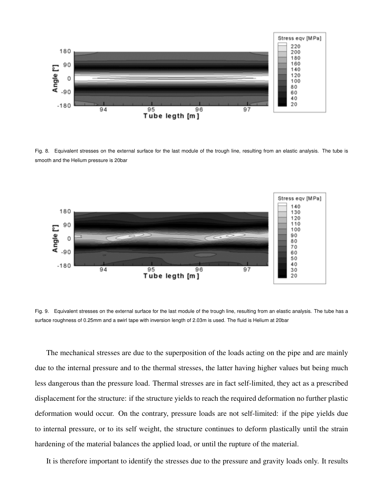

Fig. 8. Equivalent stresses on the external surface for the last module of the trough line, resulting from an elastic analysis. The tube is smooth and the Helium pressure is 20bar



Fig. 9. Equivalent stresses on the external surface for the last module of the trough line, resulting from an elastic analysis. The tube has a surface roughness of 0.25mm and a swirl tape with inversion length of 2.03m is used. The fluid is Helium at 20bar

The mechanical stresses are due to the superposition of the loads acting on the pipe and are mainly due to the internal pressure and to the thermal stresses, the latter having higher values but being much less dangerous than the pressure load. Thermal stresses are in fact self-limited, they act as a prescribed displacement for the structure: if the structure yields to reach the required deformation no further plastic deformation would occur. On the contrary, pressure loads are not self-limited: if the pipe yields due to internal pressure, or to its self weight, the structure continues to deform plastically until the strain hardening of the material balances the applied load, or until the rupture of the material.

It is therefore important to identify the stresses due to the pressure and gravity loads only. It results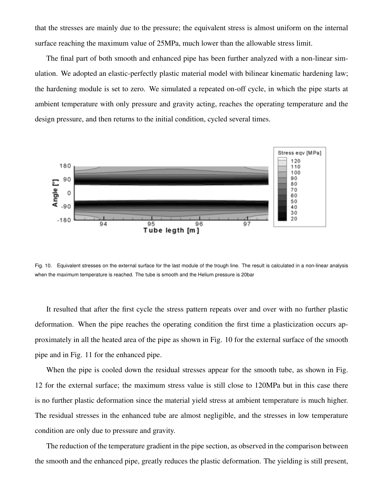that the stresses are mainly due to the pressure; the equivalent stress is almost uniform on the internal surface reaching the maximum value of 25MPa, much lower than the allowable stress limit.

The final part of both smooth and enhanced pipe has been further analyzed with a non-linear simulation. We adopted an elastic-perfectly plastic material model with bilinear kinematic hardening law; the hardening module is set to zero. We simulated a repeated on-off cycle, in which the pipe starts at ambient temperature with only pressure and gravity acting, reaches the operating temperature and the design pressure, and then returns to the initial condition, cycled several times.



Fig. 10. Equivalent stresses on the external surface for the last module of the trough line. The result is calculated in a non-linear analysis when the maximum temperature is reached. The tube is smooth and the Helium pressure is 20bar

It resulted that after the first cycle the stress pattern repeats over and over with no further plastic deformation. When the pipe reaches the operating condition the first time a plasticization occurs approximately in all the heated area of the pipe as shown in Fig. 10 for the external surface of the smooth pipe and in Fig. 11 for the enhanced pipe.

When the pipe is cooled down the residual stresses appear for the smooth tube, as shown in Fig. 12 for the external surface; the maximum stress value is still close to 120MPa but in this case there is no further plastic deformation since the material yield stress at ambient temperature is much higher. The residual stresses in the enhanced tube are almost negligible, and the stresses in low temperature condition are only due to pressure and gravity.

The reduction of the temperature gradient in the pipe section, as observed in the comparison between the smooth and the enhanced pipe, greatly reduces the plastic deformation. The yielding is still present,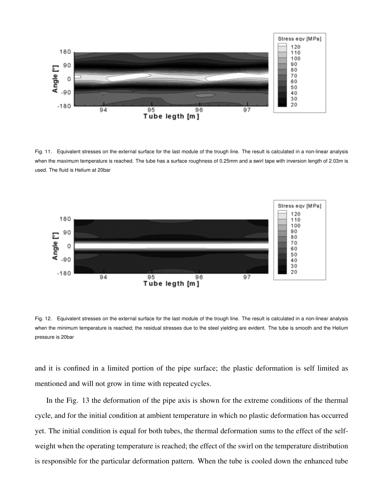

Fig. 11. Equivalent stresses on the external surface for the last module of the trough line. The result is calculated in a non-linear analysis when the maximum temperature is reached. The tube has a surface roughness of 0.25mm and a swirl tape with inversion length of 2.03m is used. The fluid is Helium at 20bar



Fig. 12. Equivalent stresses on the external surface for the last module of the trough line. The result is calculated in a non-linear analysis when the minimum temperature is reached; the residual stresses due to the steel yielding are evident. The tube is smooth and the Helium pressure is 20bar

and it is confined in a limited portion of the pipe surface; the plastic deformation is self limited as mentioned and will not grow in time with repeated cycles.

In the Fig. 13 the deformation of the pipe axis is shown for the extreme conditions of the thermal cycle, and for the initial condition at ambient temperature in which no plastic deformation has occurred yet. The initial condition is equal for both tubes, the thermal deformation sums to the effect of the selfweight when the operating temperature is reached; the effect of the swirl on the temperature distribution is responsible for the particular deformation pattern. When the tube is cooled down the enhanced tube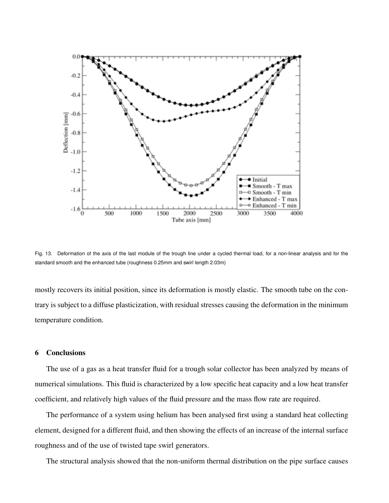

Fig. 13. Deformation of the axis of the last module of the trough line under a cycled thermal load, for a non-linear analysis and for the standard smooth and the enhanced tube (roughness 0.25mm and swirl length 2.03m)

mostly recovers its initial position, since its deformation is mostly elastic. The smooth tube on the contrary is subject to a diffuse plasticization, with residual stresses causing the deformation in the minimum temperature condition.

# 6 Conclusions

The use of a gas as a heat transfer fluid for a trough solar collector has been analyzed by means of numerical simulations. This fluid is characterized by a low specific heat capacity and a low heat transfer coefficient, and relatively high values of the fluid pressure and the mass flow rate are required.

The performance of a system using helium has been analysed first using a standard heat collecting element, designed for a different fluid, and then showing the effects of an increase of the internal surface roughness and of the use of twisted tape swirl generators.

The structural analysis showed that the non-uniform thermal distribution on the pipe surface causes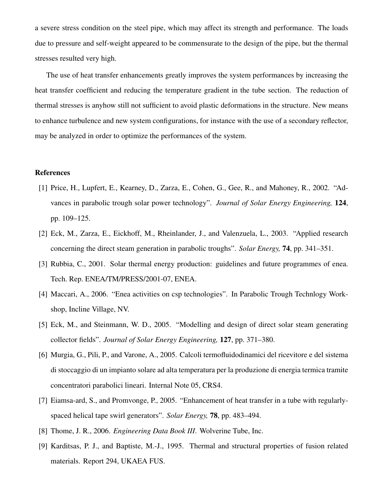a severe stress condition on the steel pipe, which may affect its strength and performance. The loads due to pressure and self-weight appeared to be commensurate to the design of the pipe, but the thermal stresses resulted very high.

The use of heat transfer enhancements greatly improves the system performances by increasing the heat transfer coefficient and reducing the temperature gradient in the tube section. The reduction of thermal stresses is anyhow still not sufficient to avoid plastic deformations in the structure. New means to enhance turbulence and new system configurations, for instance with the use of a secondary reflector, may be analyzed in order to optimize the performances of the system.

## References

- [1] Price, H., Lupfert, E., Kearney, D., Zarza, E., Cohen, G., Gee, R., and Mahoney, R., 2002. "Advances in parabolic trough solar power technology". *Journal of Solar Energy Engineering,* 124, pp. 109–125.
- [2] Eck, M., Zarza, E., Eickhoff, M., Rheinlander, J., and Valenzuela, L., 2003. "Applied research concerning the direct steam generation in parabolic troughs". *Solar Energy,* 74, pp. 341–351.
- [3] Rubbia, C., 2001. Solar thermal energy production: guidelines and future programmes of enea. Tech. Rep. ENEA/TM/PRESS/2001-07, ENEA.
- [4] Maccari, A., 2006. "Enea activities on csp technologies". In Parabolic Trough Technlogy Workshop, Incline Village, NV.
- [5] Eck, M., and Steinmann, W. D., 2005. "Modelling and design of direct solar steam generating collector fields". *Journal of Solar Energy Engineering,* 127, pp. 371–380.
- [6] Murgia, G., Pili, P., and Varone, A., 2005. Calcoli termofluidodinamici del ricevitore e del sistema di stoccaggio di un impianto solare ad alta temperatura per la produzione di energia termica tramite concentratori parabolici lineari. Internal Note 05, CRS4.
- [7] Eiamsa-ard, S., and Promvonge, P., 2005. "Enhancement of heat transfer in a tube with regularlyspaced helical tape swirl generators". *Solar Energy,* 78, pp. 483–494.
- [8] Thome, J. R., 2006. *Engineering Data Book III*. Wolverine Tube, Inc.
- [9] Karditsas, P. J., and Baptiste, M.-J., 1995. Thermal and structural properties of fusion related materials. Report 294, UKAEA FUS.